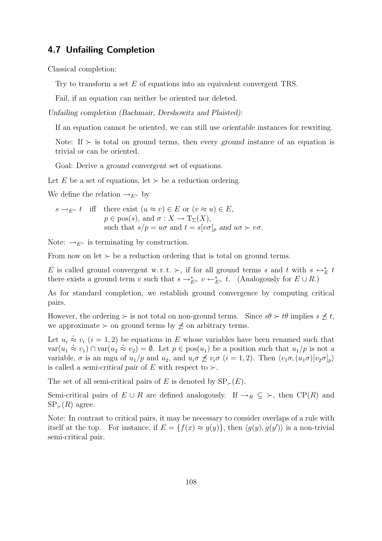## 4.7 Unfailing Completion

Classical completion:

Try to transform a set E of equations into an equivalent convergent TRS.

Fail, if an equation can neither be oriented nor deleted.

*Unfailing completion (Bachmair, Dershowitz and Plaisted):*

If an equation cannot be oriented, we can still use *orientable instances* for rewriting.

Note: If ≻ is total on ground terms, then every *ground instance* of an equation is trivial or can be oriented.

Goal: Derive a *ground convergent* set of equations.

Let E be a set of equations, let  $\succ$  be a reduction ordering.

We define the relation  $\rightarrow_E \rightarrow$  by

 $s \to_{E^{\succ}} t$  iff there exist  $(u \approx v) \in E$  or  $(v \approx u) \in E$ ,  $p \in \text{pos}(s)$ , and  $\sigma : X \to T_{\Sigma}(X)$ , such that  $s/p = u\sigma$  and  $t = s[v\sigma]_p$  and  $u\sigma > v\sigma$ .

Note:  $\rightarrow_{E^{\succ}}$  is terminating by construction.

From now on let  $\succ$  be a reduction ordering that is total on ground terms.

E is called ground convergent w.r.t.  $\succ$ , if for all ground terms s and t with  $s \leftrightarrow_{E}^* t$ there exists a ground term v such that  $s \to_{E^*}^* v \leftarrow_{E^*}^* t$ . (Analogously for  $E \cup R$ .)

As for standard completion, we establish ground convergence by computing critical pairs.

However, the ordering ≻ is not total on non-ground terms. Since  $s\theta \succ t\theta$  implies  $s \npreceq t$ , we approximate  $\succ$  on ground terms by  $\preceq$  on arbitrary terms.

Let  $u_i \approx v_i$  ( $i = 1, 2$ ) be equations in E whose variables have been renamed such that  $var(u_1 \approx v_1) \cap var(u_2 \approx v_2) = \emptyset$ . Let  $p \in pos(u_1)$  be a position such that  $u_1/p$  is not a variable,  $\sigma$  is an mgu of  $u_1/p$  and  $u_2$ , and  $u_i\sigma \not\preceq v_i\sigma$   $(i = 1, 2)$ . Then  $\langle v_1\sigma, (u_1\sigma)[v_2\sigma]_p \rangle$ is called a *semi-critical pair* of E with respect to  $\succ$ .

The set of all semi-critical pairs of E is denoted by  $SP_{\succ}(E)$ .

Semi-critical pairs of  $E \cup R$  are defined analogously. If  $\rightarrow_R \subseteq \rightarrow$ , then CP(R) and  $SP_{\succ}(R)$  agree.

Note: In contrast to critical pairs, it may be necessary to consider overlaps of a rule with itself at the top. For instance, if  $E = \{f(x) \approx g(y)\}\,$ , then  $\langle g(y), g(y')\rangle$  is a non-trivial semi-critical pair.